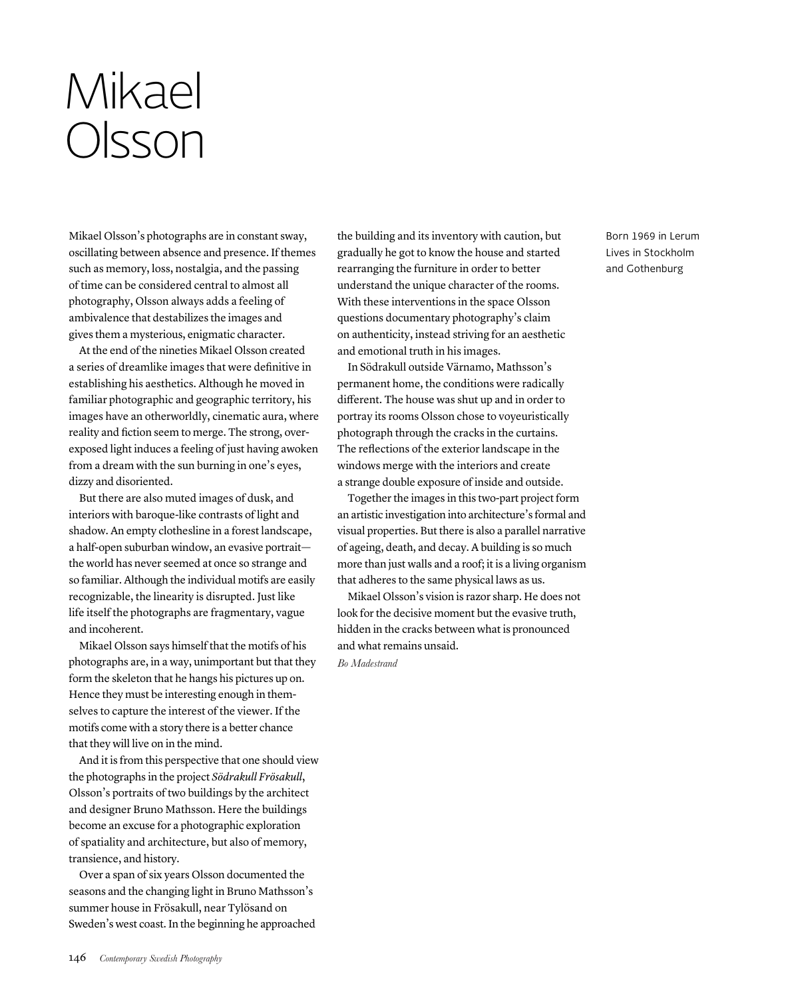## Mikael Olsson

Mikael Olsson's photographs are in constant sway, oscillating between absence and presence. If themes such as memory, loss, nostalgia, and the passing of time can be considered central to almost all photography, Olsson always adds a feeling of ambivalence that destabilizes the images and gives them a mysterious, enigmatic character.

At the end of the nineties Mikael Olsson created a series of dreamlike images that were definitive in establishing his aesthetics. Although he moved in familiar photographic and geographic territory, his images have an otherworldly, cinematic aura, where reality and fiction seem to merge. The strong, overexposed light induces a feeling of just having awoken from a dream with the sun burning in one's eyes, dizzy and disoriented.

But there are also muted images of dusk, and interiors with baroque-like contrasts of light and shadow. An empty clothesline in a forest landscape, a half-open suburban window, an evasive portrait the world has never seemed at once so strange and so familiar. Although the individual motifs are easily recognizable, the linearity is disrupted. Just like life itself the photographs are fragmentary, vague and incoherent.

Mikael Olsson says himself that the motifs of his photographs are, in a way, unimportant but that they form the skeleton that he hangs his pictures up on. Hence they must be interesting enough in themselves to capture the interest of the viewer. If the motifs come with a story there is a better chance that they will live on in the mind.

And it is from this perspective that one should view the photographs in the project *Södrakull Frösakull*, Olsson's portraits of two buildings by the architect and designer Bruno Mathsson. Here the buildings become an excuse for a photographic exploration of spatiality and architecture, but also of memory, transience, and history.

Over a span of six years Olsson documented the seasons and the changing light in Bruno Mathsson's summer house in Frösakull, near Tylösand on Sweden's west coast. In the beginning he approached the building and its inventory with caution, but gradually he got to know the house and started rearranging the furniture in order to better understand the unique character of the rooms. With these interventions in the space Olsson questions documentary photography's claim on authenticity, instead striving for an aesthetic and emotional truth in his images.

In Södrakull outside Värnamo, Mathsson's permanent home, the conditions were radically different. The house was shut up and in order to portray its rooms Olsson chose to voyeuristically photograph through the cracks in the curtains. The reflections of the exterior landscape in the windows merge with the interiors and create a strange double exposure of inside and outside.

Together the images in this two-part project form an artistic investigation into architecture's formal and visual properties. But there is also a parallel narrative of ageing, death, and decay. A building is so much more than just walls and a roof; it is a living organism that adheres to the same physical laws as us.

Mikael Olsson's vision is razor sharp. He does not look for the decisive moment but the evasive truth, hidden in the cracks between what is pronounced and what remains unsaid.

*BM Bo Madestrand*

Born 1969 in Lerum Lives in Stockholm and Gothenburg